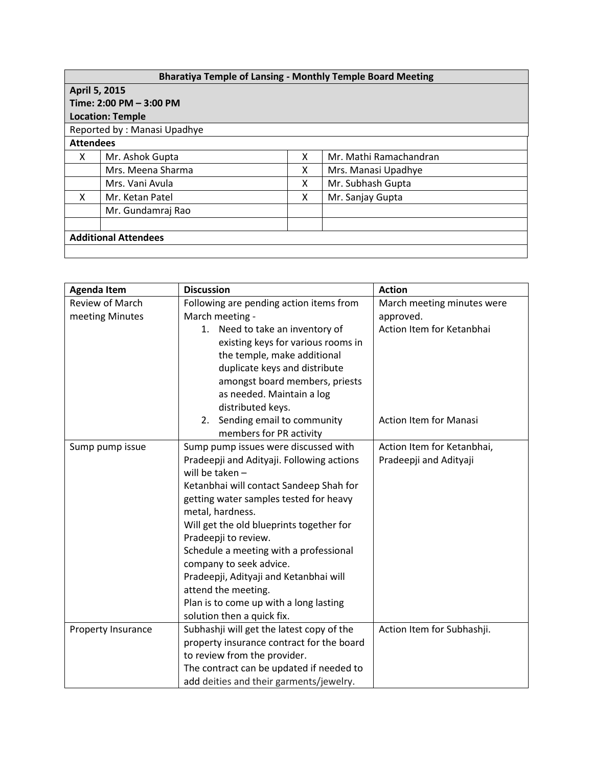| <b>Bharatiya Temple of Lansing - Monthly Temple Board Meeting</b> |                   |   |                        |  |  |  |
|-------------------------------------------------------------------|-------------------|---|------------------------|--|--|--|
| April 5, 2015                                                     |                   |   |                        |  |  |  |
| Time: 2:00 PM - 3:00 PM                                           |                   |   |                        |  |  |  |
| <b>Location: Temple</b>                                           |                   |   |                        |  |  |  |
| Reported by: Manasi Upadhye                                       |                   |   |                        |  |  |  |
| <b>Attendees</b>                                                  |                   |   |                        |  |  |  |
| X                                                                 | Mr. Ashok Gupta   | X | Mr. Mathi Ramachandran |  |  |  |
|                                                                   | Mrs. Meena Sharma | X | Mrs. Manasi Upadhye    |  |  |  |
|                                                                   | Mrs. Vani Avula   | x | Mr. Subhash Gupta      |  |  |  |
| X                                                                 | Mr. Ketan Patel   | x | Mr. Sanjay Gupta       |  |  |  |
|                                                                   | Mr. Gundamraj Rao |   |                        |  |  |  |
|                                                                   |                   |   |                        |  |  |  |
| <b>Additional Attendees</b>                                       |                   |   |                        |  |  |  |
|                                                                   |                   |   |                        |  |  |  |

| <b>Agenda Item</b>     | <b>Discussion</b>                         | <b>Action</b>                 |
|------------------------|-------------------------------------------|-------------------------------|
| <b>Review of March</b> | Following are pending action items from   | March meeting minutes were    |
| meeting Minutes        | March meeting -                           | approved.                     |
|                        | Need to take an inventory of<br>1.        | Action Item for Ketanbhai     |
|                        | existing keys for various rooms in        |                               |
|                        | the temple, make additional               |                               |
|                        | duplicate keys and distribute             |                               |
|                        | amongst board members, priests            |                               |
|                        | as needed. Maintain a log                 |                               |
|                        | distributed keys.                         |                               |
|                        | Sending email to community<br>2.          | <b>Action Item for Manasi</b> |
|                        | members for PR activity                   |                               |
| Sump pump issue        | Sump pump issues were discussed with      | Action Item for Ketanbhai,    |
|                        | Pradeepji and Adityaji. Following actions | Pradeepji and Adityaji        |
|                        | will be taken $-$                         |                               |
|                        | Ketanbhai will contact Sandeep Shah for   |                               |
|                        | getting water samples tested for heavy    |                               |
|                        | metal, hardness.                          |                               |
|                        | Will get the old blueprints together for  |                               |
|                        | Pradeepji to review.                      |                               |
|                        | Schedule a meeting with a professional    |                               |
|                        | company to seek advice.                   |                               |
|                        | Pradeepji, Adityaji and Ketanbhai will    |                               |
|                        | attend the meeting.                       |                               |
|                        | Plan is to come up with a long lasting    |                               |
|                        | solution then a quick fix.                |                               |
| Property Insurance     | Subhashji will get the latest copy of the | Action Item for Subhashji.    |
|                        | property insurance contract for the board |                               |
|                        | to review from the provider.              |                               |
|                        | The contract can be updated if needed to  |                               |
|                        | add deities and their garments/jewelry.   |                               |